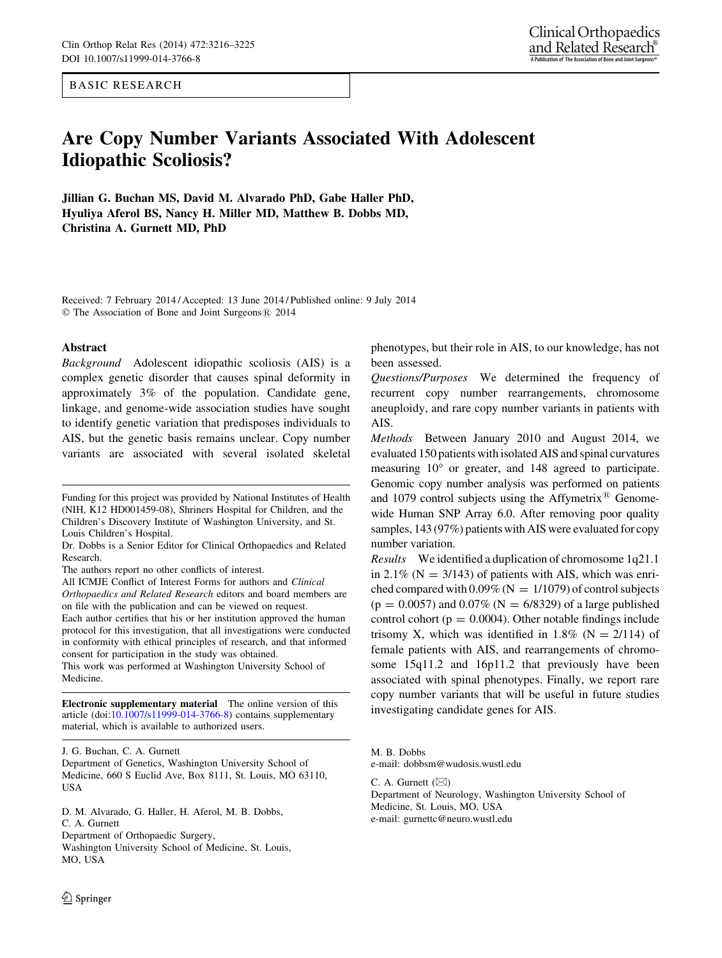BASIC RESEARCH

# Are Copy Number Variants Associated With Adolescent Idiopathic Scoliosis?

Jillian G. Buchan MS, David M. Alvarado PhD, Gabe Haller PhD, Hyuliya Aferol BS, Nancy H. Miller MD, Matthew B. Dobbs MD, Christina A. Gurnett MD, PhD

Received: 7 February 2014 / Accepted: 13 June 2014 / Published online: 9 July 2014 © The Association of Bone and Joint Surgeons® 2014

#### Abstract

Background Adolescent idiopathic scoliosis (AIS) is a complex genetic disorder that causes spinal deformity in approximately 3% of the population. Candidate gene, linkage, and genome-wide association studies have sought to identify genetic variation that predisposes individuals to AIS, but the genetic basis remains unclear. Copy number variants are associated with several isolated skeletal

Dr. Dobbs is a Senior Editor for Clinical Orthopaedics and Related Research.

The authors report no other conflicts of interest.

All ICMJE Conflict of Interest Forms for authors and Clinical Orthopaedics and Related Research editors and board members are on file with the publication and can be viewed on request. Each author certifies that his or her institution approved the human protocol for this investigation, that all investigations were conducted in conformity with ethical principles of research, and that informed consent for participation in the study was obtained.

This work was performed at Washington University School of Medicine.

Electronic supplementary material The online version of this article (doi:[10.1007/s11999-014-3766-8\)](http://dx.doi.org/10.1007/s11999-014-3766-8) contains supplementary material, which is available to authorized users.

J. G. Buchan, C. A. Gurnett

Department of Genetics, Washington University School of Medicine, 660 S Euclid Ave, Box 8111, St. Louis, MO 63110, USA

D. M. Alvarado, G. Haller, H. Aferol, M. B. Dobbs, C. A. Gurnett Department of Orthopaedic Surgery, Washington University School of Medicine, St. Louis, MO, USA

phenotypes, but their role in AIS, to our knowledge, has not been assessed.

Questions/Purposes We determined the frequency of recurrent copy number rearrangements, chromosome aneuploidy, and rare copy number variants in patients with AIS.

Methods Between January 2010 and August 2014, we evaluated 150 patients with isolated AIS and spinal curvatures measuring  $10^{\circ}$  or greater, and 148 agreed to participate. Genomic copy number analysis was performed on patients and 1079 control subjects using the Affymetrix<sup>®</sup> Genomewide Human SNP Array 6.0. After removing poor quality samples, 143 (97%) patients with AIS were evaluated for copy number variation.

Results We identified a duplication of chromosome 1q21.1 in 2.1% ( $N = 3/143$ ) of patients with AIS, which was enriched compared with  $0.09\%$  (N = 1/1079) of control subjects  $(p = 0.0057)$  and  $0.07\%$  (N = 6/8329) of a large published control cohort ( $p = 0.0004$ ). Other notable findings include trisomy X, which was identified in 1.8% ( $N = 2/114$ ) of female patients with AIS, and rearrangements of chromosome 15q11.2 and 16p11.2 that previously have been associated with spinal phenotypes. Finally, we report rare copy number variants that will be useful in future studies investigating candidate genes for AIS.

M. B. Dobbs e-mail: dobbsm@wudosis.wustl.edu

C. A. Gurnett  $(\boxtimes)$ Department of Neurology, Washington University School of Medicine, St. Louis, MO, USA e-mail: gurnettc@neuro.wustl.edu

Funding for this project was provided by National Institutes of Health (NIH, K12 HD001459-08), Shriners Hospital for Children, and the Children's Discovery Institute of Washington University, and St. Louis Children's Hospital.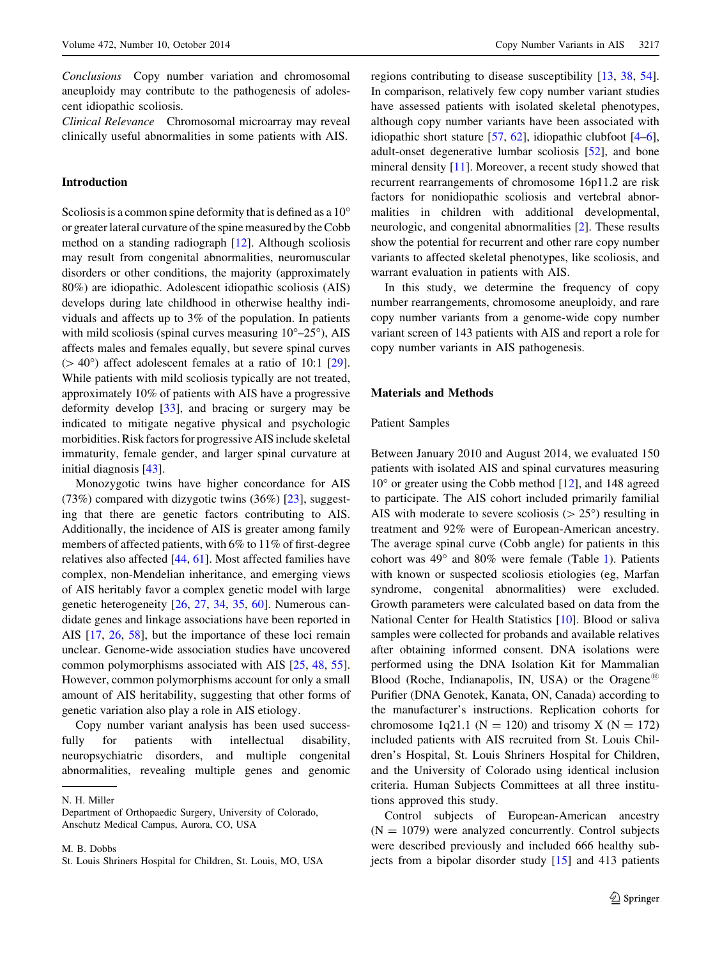Conclusions Copy number variation and chromosomal aneuploidy may contribute to the pathogenesis of adolescent idiopathic scoliosis.

Clinical Relevance Chromosomal microarray may reveal clinically useful abnormalities in some patients with AIS.

## Introduction

Scoliosis is a common spine deformity that is defined as a  $10^{\circ}$ or greater lateral curvature of the spine measured by the Cobb method on a standing radiograph [[12\]](#page-7-0). Although scoliosis may result from congenital abnormalities, neuromuscular disorders or other conditions, the majority (approximately 80%) are idiopathic. Adolescent idiopathic scoliosis (AIS) develops during late childhood in otherwise healthy individuals and affects up to 3% of the population. In patients with mild scoliosis (spinal curves measuring  $10^{\circ}$ –25 $^{\circ}$ ), AIS affects males and females equally, but severe spinal curves  $( > 40^{\circ})$  affect adolescent females at a ratio of 10:1 [\[29](#page-8-0)]. While patients with mild scoliosis typically are not treated, approximately 10% of patients with AIS have a progressive deformity develop [\[33](#page-8-0)], and bracing or surgery may be indicated to mitigate negative physical and psychologic morbidities. Risk factors for progressive AIS include skeletal immaturity, female gender, and larger spinal curvature at initial diagnosis [[43\]](#page-8-0).

Monozygotic twins have higher concordance for AIS (73%) compared with dizygotic twins (36%) [\[23](#page-8-0)], suggesting that there are genetic factors contributing to AIS. Additionally, the incidence of AIS is greater among family members of affected patients, with 6% to 11% of first-degree relatives also affected [\[44](#page-8-0), [61](#page-9-0)]. Most affected families have complex, non-Mendelian inheritance, and emerging views of AIS heritably favor a complex genetic model with large genetic heterogeneity [[26,](#page-8-0) [27](#page-8-0), [34](#page-8-0), [35,](#page-8-0) [60\]](#page-9-0). Numerous candidate genes and linkage associations have been reported in AIS [[17,](#page-7-0) [26](#page-8-0), [58](#page-9-0)], but the importance of these loci remain unclear. Genome-wide association studies have uncovered common polymorphisms associated with AIS [\[25](#page-8-0), [48,](#page-8-0) [55](#page-9-0)]. However, common polymorphisms account for only a small amount of AIS heritability, suggesting that other forms of genetic variation also play a role in AIS etiology.

Copy number variant analysis has been used successfully for patients with intellectual disability, neuropsychiatric disorders, and multiple congenital abnormalities, revealing multiple genes and genomic

M. B. Dobbs

regions contributing to disease susceptibility [\[13](#page-7-0), [38](#page-8-0), [54](#page-9-0)]. In comparison, relatively few copy number variant studies have assessed patients with isolated skeletal phenotypes, although copy number variants have been associated with idiopathic short stature [[57,](#page-9-0) [62](#page-9-0)], idiopathic clubfoot [\[4–6](#page-7-0)], adult-onset degenerative lumbar scoliosis [[52\]](#page-9-0), and bone mineral density [\[11](#page-7-0)]. Moreover, a recent study showed that recurrent rearrangements of chromosome 16p11.2 are risk factors for nonidiopathic scoliosis and vertebral abnormalities in children with additional developmental, neurologic, and congenital abnormalities [[2\]](#page-7-0). These results show the potential for recurrent and other rare copy number variants to affected skeletal phenotypes, like scoliosis, and warrant evaluation in patients with AIS.

In this study, we determine the frequency of copy number rearrangements, chromosome aneuploidy, and rare copy number variants from a genome-wide copy number variant screen of 143 patients with AIS and report a role for copy number variants in AIS pathogenesis.

### Materials and Methods

#### Patient Samples

Between January 2010 and August 2014, we evaluated 150 patients with isolated AIS and spinal curvatures measuring  $10^{\circ}$  or greater using the Cobb method [\[12](#page-7-0)], and 148 agreed to participate. The AIS cohort included primarily familial AIS with moderate to severe scoliosis ( $> 25^{\circ}$ ) resulting in treatment and 92% were of European-American ancestry. The average spinal curve (Cobb angle) for patients in this cohort was  $49^{\circ}$  and  $80\%$  were female (Table [1\)](#page-2-0). Patients with known or suspected scoliosis etiologies (eg, Marfan syndrome, congenital abnormalities) were excluded. Growth parameters were calculated based on data from the National Center for Health Statistics [\[10](#page-7-0)]. Blood or saliva samples were collected for probands and available relatives after obtaining informed consent. DNA isolations were performed using the DNA Isolation Kit for Mammalian Blood (Roche, Indianapolis, IN, USA) or the Oragene<sup> $18$ </sup> Purifier (DNA Genotek, Kanata, ON, Canada) according to the manufacturer's instructions. Replication cohorts for chromosome 1q21.1 ( $N = 120$ ) and trisomy X ( $N = 172$ ) included patients with AIS recruited from St. Louis Children's Hospital, St. Louis Shriners Hospital for Children, and the University of Colorado using identical inclusion criteria. Human Subjects Committees at all three institutions approved this study.

Control subjects of European-American ancestry  $(N = 1079)$  were analyzed concurrently. Control subjects were described previously and included 666 healthy subjects from a bipolar disorder study  $[15]$  $[15]$  and 413 patients

N. H. Miller

Department of Orthopaedic Surgery, University of Colorado, Anschutz Medical Campus, Aurora, CO, USA

St. Louis Shriners Hospital for Children, St. Louis, MO, USA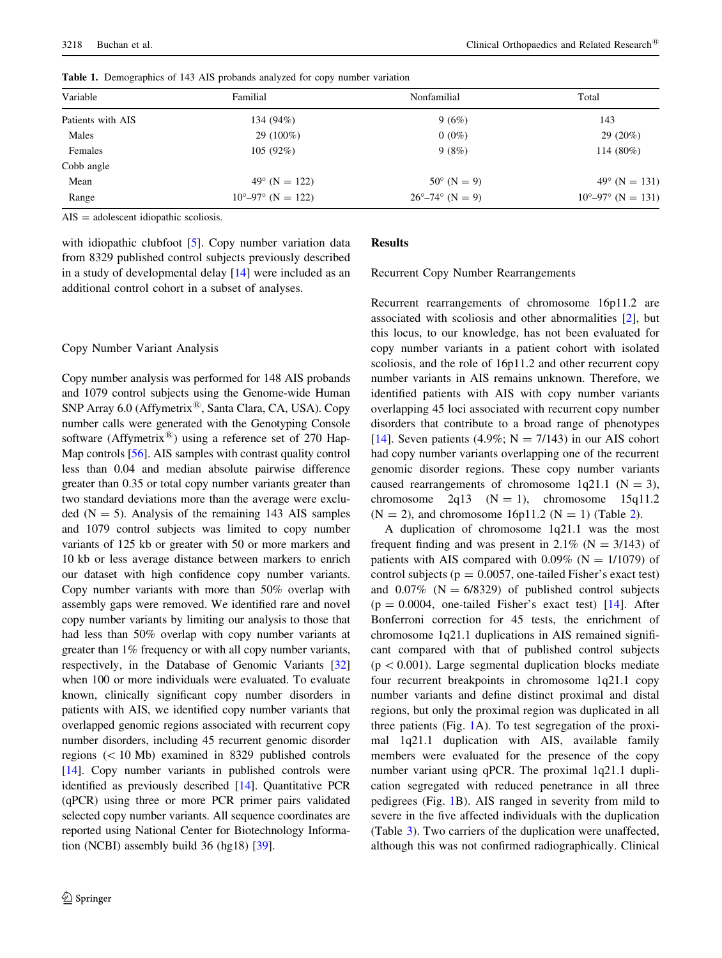| Variable          | Familial                            | Nonfamilial                       | Total                               |
|-------------------|-------------------------------------|-----------------------------------|-------------------------------------|
| Patients with AIS | 134 (94%)                           | 9(6%)                             | 143                                 |
| Males             | 29 (100%)                           | $0(0\%)$                          | $29(20\%)$                          |
| Females           | 105(92%)                            | 9(8%)                             | 114 (80%)                           |
| Cobb angle        |                                     |                                   |                                     |
| Mean              | $49^{\circ}$ (N = 122)              | $50^{\circ}$ (N = 9)              | $49^{\circ}$ (N = 131)              |
| Range             | $10^{\circ} - 97^{\circ}$ (N = 122) | $26^{\circ} - 74^{\circ}$ (N = 9) | $10^{\circ} - 97^{\circ}$ (N = 131) |
|                   |                                     |                                   |                                     |

<span id="page-2-0"></span>Table 1. Demographics of 143 AIS probands analyzed for copy number variation

 $AIS =$  adolescent idiopathic scoliosis.

with idiopathic clubfoot [[5\]](#page-7-0). Copy number variation data from 8329 published control subjects previously described in a study of developmental delay [\[14](#page-7-0)] were included as an additional control cohort in a subset of analyses.

## Copy Number Variant Analysis

Copy number analysis was performed for 148 AIS probands and 1079 control subjects using the Genome-wide Human SNP Array 6.0 (Affymetrix<sup>®</sup>, Santa Clara, CA, USA). Copy number calls were generated with the Genotyping Console software (Affymetrix<sup>®</sup>) using a reference set of 270 Hap-Map controls [[56](#page-9-0)]. AIS samples with contrast quality control less than 0.04 and median absolute pairwise difference greater than 0.35 or total copy number variants greater than two standard deviations more than the average were excluded  $(N = 5)$ . Analysis of the remaining 143 AIS samples and 1079 control subjects was limited to copy number variants of 125 kb or greater with 50 or more markers and 10 kb or less average distance between markers to enrich our dataset with high confidence copy number variants. Copy number variants with more than 50% overlap with assembly gaps were removed. We identified rare and novel copy number variants by limiting our analysis to those that had less than 50% overlap with copy number variants at greater than 1% frequency or with all copy number variants, respectively, in the Database of Genomic Variants [\[32\]](#page-8-0) when 100 or more individuals were evaluated. To evaluate known, clinically significant copy number disorders in patients with AIS, we identified copy number variants that overlapped genomic regions associated with recurrent copy number disorders, including 45 recurrent genomic disorder regions  $(< 10$  Mb) examined in 8329 published controls [\[14](#page-7-0)]. Copy number variants in published controls were identified as previously described [\[14\]](#page-7-0). Quantitative PCR (qPCR) using three or more PCR primer pairs validated selected copy number variants. All sequence coordinates are reported using National Center for Biotechnology Information (NCBI) assembly build 36 (hg18) [[39](#page-8-0)].

# **Results**

Recurrent Copy Number Rearrangements

Recurrent rearrangements of chromosome 16p11.2 are associated with scoliosis and other abnormalities [[2\]](#page-7-0), but this locus, to our knowledge, has not been evaluated for copy number variants in a patient cohort with isolated scoliosis, and the role of 16p11.2 and other recurrent copy number variants in AIS remains unknown. Therefore, we identified patients with AIS with copy number variants overlapping 45 loci associated with recurrent copy number disorders that contribute to a broad range of phenotypes [\[14](#page-7-0)]. Seven patients (4.9%;  $N = 7/143$ ) in our AIS cohort had copy number variants overlapping one of the recurrent genomic disorder regions. These copy number variants caused rearrangements of chromosome  $1q21.1$  (N = 3), chromosome  $2q13$   $(N = 1)$ , chromosome  $15q11.2$  $(N = 2)$  $(N = 2)$ , and chromosome 16p11.2  $(N = 1)$  (Table 2).

A duplication of chromosome 1q21.1 was the most frequent finding and was present in 2.1% ( $N = 3/143$ ) of patients with AIS compared with  $0.09\%$  (N = 1/1079) of control subjects ( $p = 0.0057$ , one-tailed Fisher's exact test) and  $0.07\%$  (N = 6/8329) of published control subjects  $(p = 0.0004,$  one-tailed Fisher's exact test) [[14\]](#page-7-0). After Bonferroni correction for 45 tests, the enrichment of chromosome 1q21.1 duplications in AIS remained significant compared with that of published control subjects  $(p < 0.001)$ . Large segmental duplication blocks mediate four recurrent breakpoints in chromosome 1q21.1 copy number variants and define distinct proximal and distal regions, but only the proximal region was duplicated in all three patients (Fig. [1](#page-3-0)A). To test segregation of the proximal 1q21.1 duplication with AIS, available family members were evaluated for the presence of the copy number variant using qPCR. The proximal 1q21.1 duplication segregated with reduced penetrance in all three pedigrees (Fig. [1B](#page-3-0)). AIS ranged in severity from mild to severe in the five affected individuals with the duplication (Table [3\)](#page-5-0). Two carriers of the duplication were unaffected, although this was not confirmed radiographically. Clinical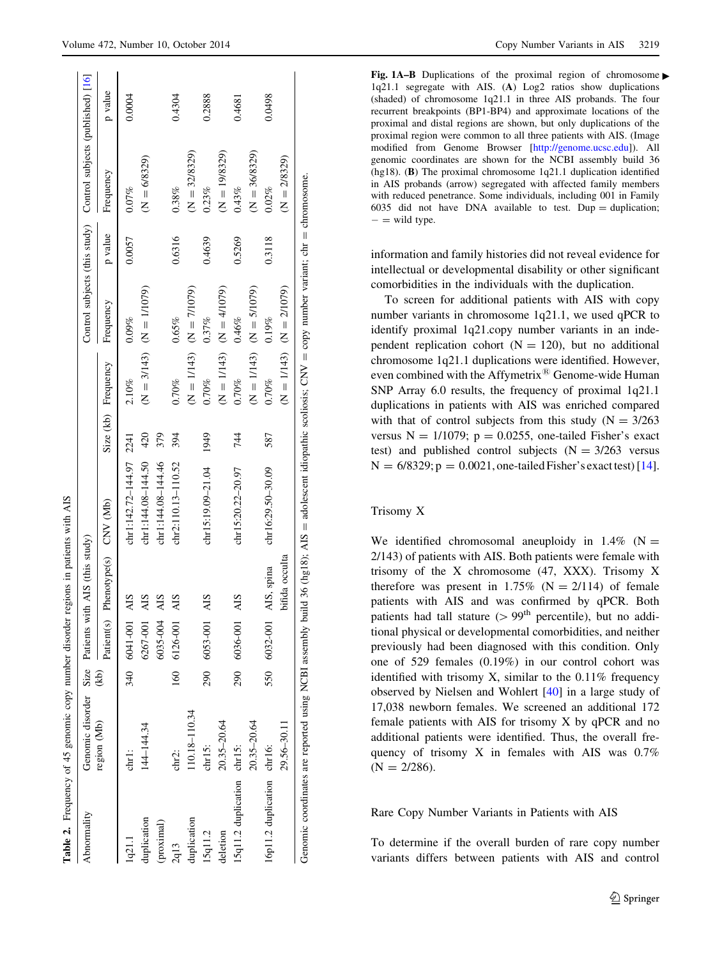<span id="page-3-0"></span>

| Abnormality                | Genomic disorder Size Patients with AIS (this study) |      |              |                       |                         |      |                     |                                       |         | Control subjects (this study) Control subjects (published) [16] |         |
|----------------------------|------------------------------------------------------|------|--------------|-----------------------|-------------------------|------|---------------------|---------------------------------------|---------|-----------------------------------------------------------------|---------|
|                            | region (Mb)                                          | (kb) | Patient(s)   | Phenotype(s) CNV (Mb) |                         |      | Size (kb) Frequency | Frequency                             | p value | Frequency                                                       | p value |
| 1q21.1                     | $chr1$ :                                             |      | 340 6041-001 | AIS                   | chr1:142.72-144.97 2241 |      | 2.10%               | 0.09%                                 | 0.0057  | $0.07\%$                                                        | 0.0004  |
| duplication                | 144-144.34                                           |      | 6267-001     | <b>AIS</b>            | $chr1:144.08 - 144.50$  | 420  |                     | $(N = 3/17)$ (Seption 2)              |         | $(N = 6/8329)$                                                  |         |
| (proximal)                 |                                                      |      | 6035-004     | <b>AIS</b>            | chr1:144.08-144.46      | 379  |                     |                                       |         |                                                                 |         |
| 2q13                       | chr2:                                                |      | 160 6126-001 | AIS                   | chr2:110.13-110.52      | 394  | 0.70%               | 0.65%                                 | 0.6316  | 0.38%                                                           | 0.4304  |
| duplication                | 110.18-110.34                                        |      |              |                       |                         |      |                     | $(N = 1797)$ (Spring and Separation ) |         | $(N = 32/8329)$                                                 |         |
| 15q11.2                    | chr15:                                               |      | 290 6053-001 | AIS                   | $chr15:19.09-21.04$     | 1949 | 0.70%               | 0.37%                                 | 0.4639  | 0.23%                                                           | 0.2888  |
| deletion                   | $20.35 - 20.64$                                      |      |              |                       |                         |      |                     | $(N = 1/143)$ $(N = 4/107)$           |         | $(N = 19/8329)$                                                 |         |
| 15q11.2 duplication chr15: |                                                      |      | 290 6036-001 | AIS                   | chr15:20.22-20.97       | 744  | 0.70%               | 0.46%                                 | 0.5269  | 0.43%                                                           | 0.4681  |
|                            | $20.35 - 20.64$                                      |      |              |                       |                         |      |                     | $(N = 1/143)$ $(N = 5/107)$           |         | $(N = 36/8329)$                                                 |         |
| 16p11.2 duplication chr16: |                                                      |      | 550 6032-001 | AIS, spina            | $chr16:29.50-30.09$     | 587  | 0.70%               | 0.19%                                 | 0.3118  | 0.02%                                                           | 0.0498  |
|                            | 29.56-30.11                                          |      |              | bifida occulta        |                         |      |                     | $(N = 1/143)$ $(N = 2/1079)$          |         | $(N = 2/8329)$                                                  |         |

Fig. 1A-B Duplications of the proximal region of chromosome 1q21.1 segregate with AIS. (A) Log2 ratios show duplications (shaded) of chromosome 1q21.1 in three AIS probands. The four recurrent breakpoints (BP1-BP4) and approximate locations of the proximal and distal regions are shown, but only duplications of the proximal region were common to all three patients with AIS. (Image modified from Genome Browser [\[http://genome.ucsc.edu\]](http://genome.ucsc.edu)). All genomic coordinates are shown for the NCBI assembly build 36 (hg18). (B) The proximal chromosome 1q21.1 duplication identified in AIS probands (arrow) segregated with affected family members with reduced penetrance. Some individuals, including 001 in Family 6035 did not have DNA available to test. Dup  $=$  duplication;  $-$  = wild type.

information and family histories did not reveal evidence for intellectual or developmental disability or other significant comorbidities in the individuals with the duplication.

To screen for additional patients with AIS with copy number variants in chromosome 1q21.1, we used qPCR to identify proximal 1q21.copy number variants in an independent replication cohort  $(N = 120)$ , but no additional chromosome 1q21.1 duplications were identified. However, even combined with the Affymetrix<sup>®</sup> Genome-wide Human SNP Array 6.0 results, the frequency of proximal 1q21.1 duplications in patients with AIS was enriched compared with that of control subjects from this study  $(N = 3/263)$ versus  $N = 1/1079$ ;  $p = 0.0255$ , one-tailed Fisher's exact test) and published control subjects  $(N = 3/263$  versus  $N = 6/8329$ ;  $p = 0.0021$ , one-tailed Fisher's exact test) [[14](#page-7-0)].

## Trisomy X

We identified chromosomal aneuploidy in  $1.4\%$  (N = 2/143) of patients with AIS. Both patients were female with trisomy of the X chromosome (47, XXX). Trisomy X therefore was present in 1.75% ( $N = 2/114$ ) of female patients with AIS and was confirmed by qPCR. Both patients had tall stature  $(> 99<sup>th</sup>$  percentile), but no additional physical or developmental comorbidities, and neither previously had been diagnosed with this condition. Only one of 529 females (0.19%) in our control cohort was identified with trisomy X, similar to the 0.11% frequency observed by Nielsen and Wohlert [\[40](#page-8-0)] in a large study of 17,038 newborn females. We screened an additional 172 female patients with AIS for trisomy X by qPCR and no additional patients were identified. Thus, the overall frequency of trisomy X in females with AIS was 0.7%  $(N = 2/286)$ .

Rare Copy Number Variants in Patients with AIS

To determine if the overall burden of rare copy number variants differs between patients with AIS and control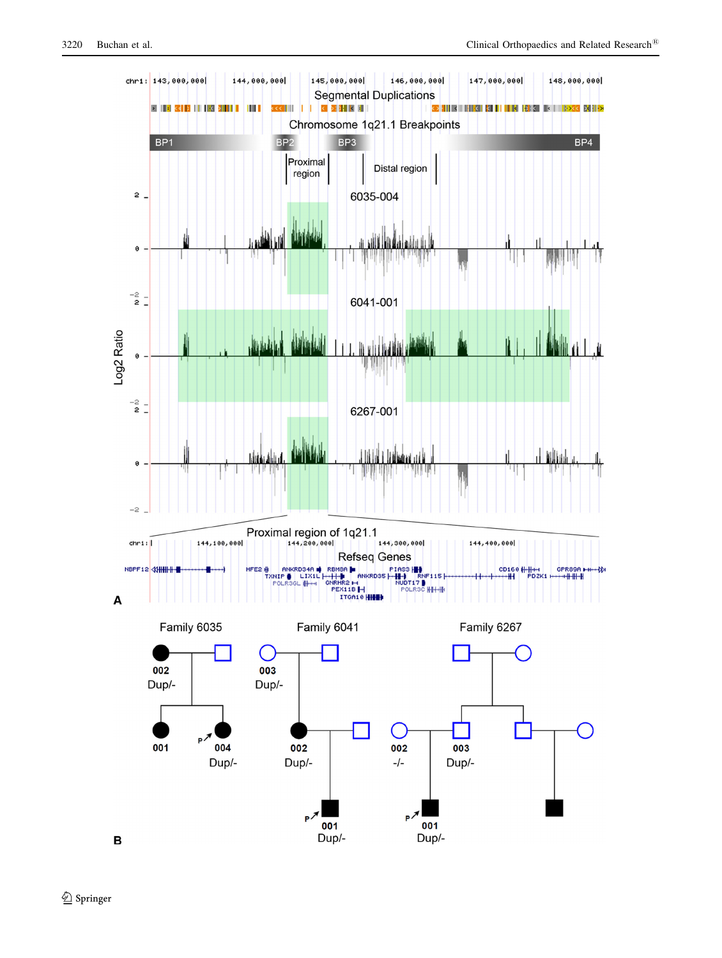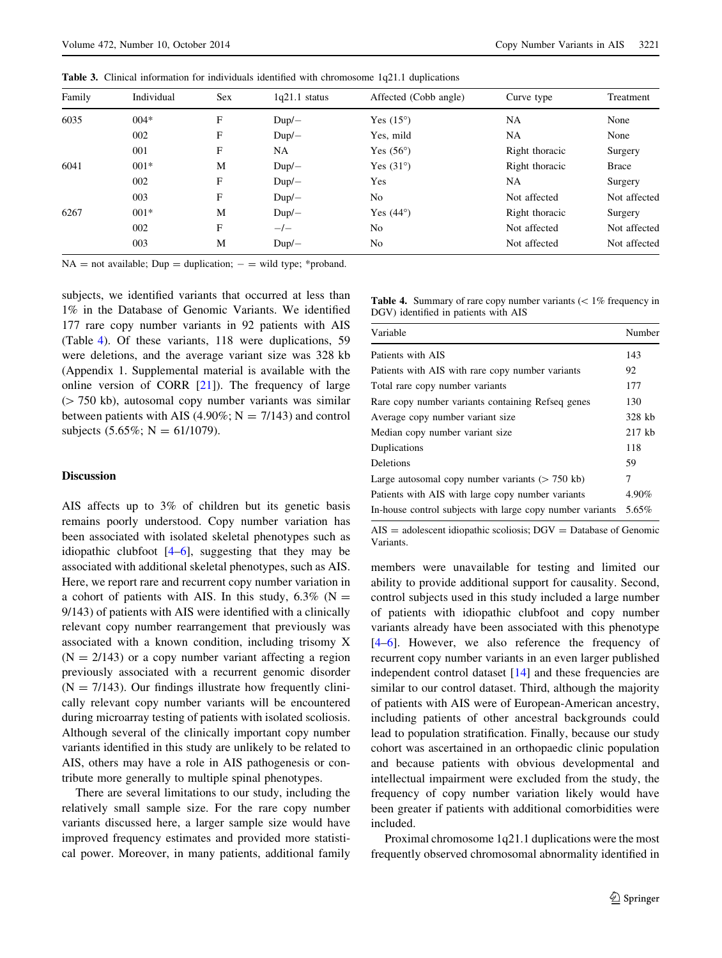| Family | Individual | <b>Sex</b> | $1q21.1$ status | Affected (Cobb angle) | Curve type     | Treatment    |
|--------|------------|------------|-----------------|-----------------------|----------------|--------------|
| 6035   | $004*$     | F          | $Dup/-$         | Yes $(15^{\circ})$    | <b>NA</b>      | None         |
|        | 002        | F          | $Dup/-$         | Yes, mild             | <b>NA</b>      | None         |
|        | 001        | F          | NA              | Yes $(56^{\circ})$    | Right thoracic | Surgery      |
| 6041   | $001*$     | M          | $Dup/-$         | Yes $(31^{\circ})$    | Right thoracic | <b>Brace</b> |
|        | 002        | F          | $Dup/-$         | Yes                   | <b>NA</b>      | Surgery      |
|        | 003        | F          | $Dup/-$         | N <sub>0</sub>        | Not affected   | Not affected |
| 6267   | $001*$     | M          | $Dup/-$         | Yes $(44^{\circ})$    | Right thoracic | Surgery      |
|        | 002        | F          | $-/-$           | No                    | Not affected   | Not affected |
|        | 003        | М          | $Dup/-$         | No                    | Not affected   | Not affected |
|        |            |            |                 |                       |                |              |

<span id="page-5-0"></span>Table 3. Clinical information for individuals identified with chromosome 1q21.1 duplications

 $NA = not available$ ;  $Dup = duplication$ ;  $- = wild type$ ; \*proband.

subjects, we identified variants that occurred at less than 1% in the Database of Genomic Variants. We identified 177 rare copy number variants in 92 patients with AIS (Table 4). Of these variants, 118 were duplications, 59 were deletions, and the average variant size was 328 kb (Appendix 1. Supplemental material is available with the online version of CORR  $[21]$  $[21]$ ). The frequency of large  $($  750 kb), autosomal copy number variants was similar between patients with AIS (4.90%;  $N = 7/143$ ) and control subjects  $(5.65\%; N = 61/1079)$ .

#### **Table 4.** Summary of rare copy number variants  $\ll 1\%$  frequency in DGV) identified in patients with AIS

| Variable                                                  | Number   |
|-----------------------------------------------------------|----------|
| Patients with AIS                                         | 143      |
| Patients with AIS with rare copy number variants          | 92       |
| Total rare copy number variants                           | 177      |
| Rare copy number variants containing Refseq genes         | 130      |
| Average copy number variant size                          | 328 kb   |
| Median copy number variant size                           | $217$ kb |
| Duplications                                              | 118      |
| Deletions                                                 | 59       |
| Large autosomal copy number variants $(> 750$ kb)         | 7        |
| Patients with AIS with large copy number variants         | 4.90%    |
| In-house control subjects with large copy number variants | 5.65%    |
|                                                           |          |

 $AIS = adolescent idiopathic scoliosis; DGV = Database of Genomic$ Variants.

members were unavailable for testing and limited our ability to provide additional support for causality. Second, control subjects used in this study included a large number of patients with idiopathic clubfoot and copy number variants already have been associated with this phenotype [\[4–6](#page-7-0)]. However, we also reference the frequency of recurrent copy number variants in an even larger published independent control dataset [\[14](#page-7-0)] and these frequencies are similar to our control dataset. Third, although the majority of patients with AIS were of European-American ancestry, including patients of other ancestral backgrounds could lead to population stratification. Finally, because our study cohort was ascertained in an orthopaedic clinic population and because patients with obvious developmental and intellectual impairment were excluded from the study, the frequency of copy number variation likely would have been greater if patients with additional comorbidities were included.

Proximal chromosome 1q21.1 duplications were the most frequently observed chromosomal abnormality identified in

# **Discussion**

AIS affects up to 3% of children but its genetic basis remains poorly understood. Copy number variation has been associated with isolated skeletal phenotypes such as idiopathic clubfoot [[4–6\]](#page-7-0), suggesting that they may be associated with additional skeletal phenotypes, such as AIS. Here, we report rare and recurrent copy number variation in a cohort of patients with AIS. In this study,  $6.3\%$  (N = 9/143) of patients with AIS were identified with a clinically relevant copy number rearrangement that previously was associated with a known condition, including trisomy X  $(N = 2/143)$  or a copy number variant affecting a region previously associated with a recurrent genomic disorder  $(N = 7/143)$ . Our findings illustrate how frequently clinically relevant copy number variants will be encountered during microarray testing of patients with isolated scoliosis. Although several of the clinically important copy number variants identified in this study are unlikely to be related to AIS, others may have a role in AIS pathogenesis or contribute more generally to multiple spinal phenotypes.

There are several limitations to our study, including the relatively small sample size. For the rare copy number variants discussed here, a larger sample size would have improved frequency estimates and provided more statistical power. Moreover, in many patients, additional family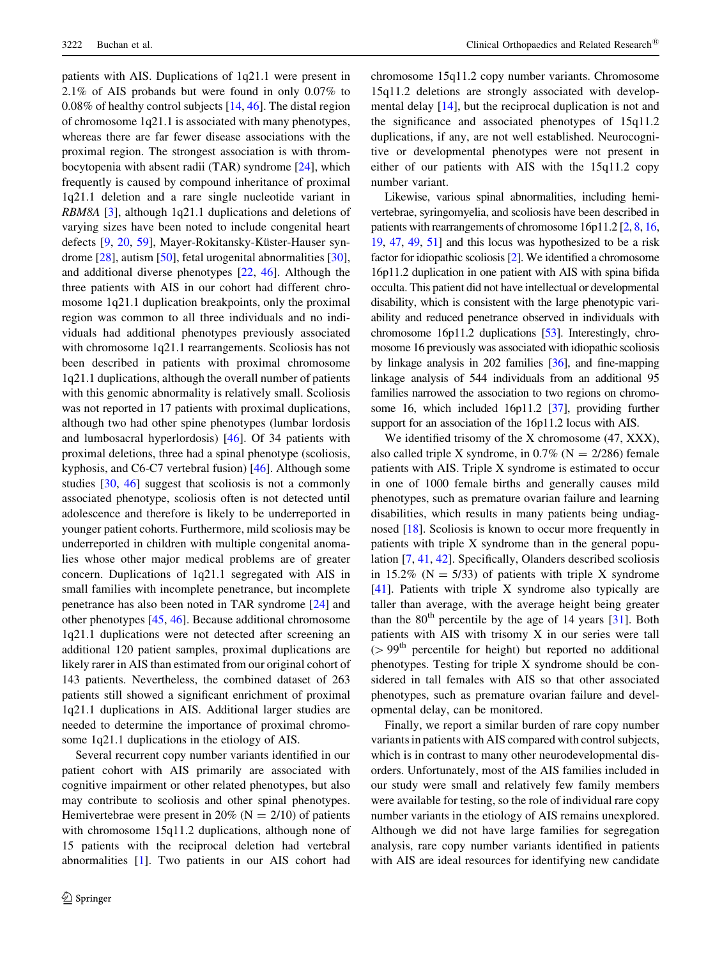patients with AIS. Duplications of 1q21.1 were present in 2.1% of AIS probands but were found in only 0.07% to 0.08% of healthy control subjects [\[14](#page-7-0), [46\]](#page-8-0). The distal region of chromosome 1q21.1 is associated with many phenotypes, whereas there are far fewer disease associations with the proximal region. The strongest association is with thrombocytopenia with absent radii (TAR) syndrome [\[24](#page-8-0)], which frequently is caused by compound inheritance of proximal 1q21.1 deletion and a rare single nucleotide variant in RBM8A [\[3](#page-7-0)], although 1q21.1 duplications and deletions of varying sizes have been noted to include congenital heart defects [\[9](#page-7-0), [20,](#page-8-0) [59\]](#page-9-0), Mayer-Rokitansky-Küster-Hauser syndrome [\[28](#page-8-0)], autism [\[50](#page-8-0)], fetal urogenital abnormalities [\[30](#page-8-0)], and additional diverse phenotypes [\[22](#page-8-0), [46](#page-8-0)]. Although the three patients with AIS in our cohort had different chromosome 1q21.1 duplication breakpoints, only the proximal region was common to all three individuals and no individuals had additional phenotypes previously associated with chromosome 1q21.1 rearrangements. Scoliosis has not been described in patients with proximal chromosome 1q21.1 duplications, although the overall number of patients with this genomic abnormality is relatively small. Scoliosis was not reported in 17 patients with proximal duplications, although two had other spine phenotypes (lumbar lordosis and lumbosacral hyperlordosis) [[46\]](#page-8-0). Of 34 patients with proximal deletions, three had a spinal phenotype (scoliosis, kyphosis, and C6-C7 vertebral fusion) [[46\]](#page-8-0). Although some studies [[30,](#page-8-0) [46](#page-8-0)] suggest that scoliosis is not a commonly associated phenotype, scoliosis often is not detected until adolescence and therefore is likely to be underreported in younger patient cohorts. Furthermore, mild scoliosis may be underreported in children with multiple congenital anomalies whose other major medical problems are of greater concern. Duplications of 1q21.1 segregated with AIS in small families with incomplete penetrance, but incomplete penetrance has also been noted in TAR syndrome [[24](#page-8-0)] and other phenotypes [[45](#page-8-0), [46\]](#page-8-0). Because additional chromosome 1q21.1 duplications were not detected after screening an additional 120 patient samples, proximal duplications are likely rarer in AIS than estimated from our original cohort of 143 patients. Nevertheless, the combined dataset of 263 patients still showed a significant enrichment of proximal 1q21.1 duplications in AIS. Additional larger studies are needed to determine the importance of proximal chromosome 1q21.1 duplications in the etiology of AIS.

Several recurrent copy number variants identified in our patient cohort with AIS primarily are associated with cognitive impairment or other related phenotypes, but also may contribute to scoliosis and other spinal phenotypes. Hemivertebrae were present in 20% ( $N = 2/10$ ) of patients with chromosome 15q11.2 duplications, although none of 15 patients with the reciprocal deletion had vertebral abnormalities [\[1](#page-7-0)]. Two patients in our AIS cohort had chromosome 15q11.2 copy number variants. Chromosome 15q11.2 deletions are strongly associated with developmental delay [\[14](#page-7-0)], but the reciprocal duplication is not and the significance and associated phenotypes of 15q11.2 duplications, if any, are not well established. Neurocognitive or developmental phenotypes were not present in either of our patients with AIS with the 15q11.2 copy number variant.

Likewise, various spinal abnormalities, including hemivertebrae, syringomyelia, and scoliosis have been described in patients with rearrangements of chromosome 16p11.2 [\[2](#page-7-0), [8](#page-7-0), [16,](#page-7-0) [19,](#page-7-0) [47](#page-8-0), [49](#page-8-0), [51\]](#page-9-0) and this locus was hypothesized to be a risk factor for idiopathic scoliosis [\[2\]](#page-7-0). We identified a chromosome 16p11.2 duplication in one patient with AIS with spina bifida occulta. This patient did not have intellectual or developmental disability, which is consistent with the large phenotypic variability and reduced penetrance observed in individuals with chromosome 16p11.2 duplications [\[53](#page-9-0)]. Interestingly, chromosome 16 previously was associated with idiopathic scoliosis by linkage analysis in 202 families [[36](#page-8-0)], and fine-mapping linkage analysis of 544 individuals from an additional 95 families narrowed the association to two regions on chromosome 16, which included 16p11.2 [\[37](#page-8-0)], providing further support for an association of the 16p11.2 locus with AIS.

We identified trisomy of the X chromosome (47, XXX), also called triple X syndrome, in  $0.7\%$  (N = 2/286) female patients with AIS. Triple X syndrome is estimated to occur in one of 1000 female births and generally causes mild phenotypes, such as premature ovarian failure and learning disabilities, which results in many patients being undiagnosed [[18\]](#page-7-0). Scoliosis is known to occur more frequently in patients with triple X syndrome than in the general population [[7,](#page-7-0) [41,](#page-8-0) [42\]](#page-8-0). Specifically, Olanders described scoliosis in 15.2% ( $N = 5/33$ ) of patients with triple X syndrome [\[41](#page-8-0)]. Patients with triple X syndrome also typically are taller than average, with the average height being greater than the  $80<sup>th</sup>$  percentile by the age of 14 years [\[31](#page-8-0)]. Both patients with AIS with trisomy X in our series were tall  $(> 99<sup>th</sup>$  percentile for height) but reported no additional phenotypes. Testing for triple X syndrome should be considered in tall females with AIS so that other associated phenotypes, such as premature ovarian failure and developmental delay, can be monitored.

Finally, we report a similar burden of rare copy number variants in patients with AIS compared with control subjects, which is in contrast to many other neurodevelopmental disorders. Unfortunately, most of the AIS families included in our study were small and relatively few family members were available for testing, so the role of individual rare copy number variants in the etiology of AIS remains unexplored. Although we did not have large families for segregation analysis, rare copy number variants identified in patients with AIS are ideal resources for identifying new candidate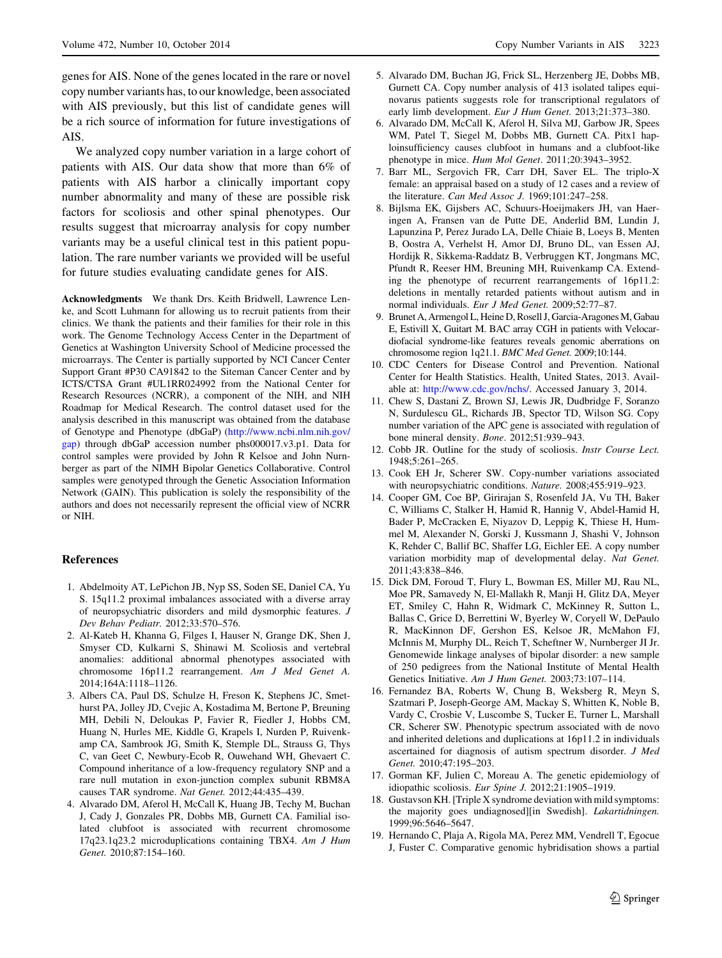<span id="page-7-0"></span>genes for AIS. None of the genes located in the rare or novel copy number variants has, to our knowledge, been associated with AIS previously, but this list of candidate genes will be a rich source of information for future investigations of AIS.

We analyzed copy number variation in a large cohort of patients with AIS. Our data show that more than 6% of patients with AIS harbor a clinically important copy number abnormality and many of these are possible risk factors for scoliosis and other spinal phenotypes. Our results suggest that microarray analysis for copy number variants may be a useful clinical test in this patient population. The rare number variants we provided will be useful for future studies evaluating candidate genes for AIS.

Acknowledgments We thank Drs. Keith Bridwell, Lawrence Lenke, and Scott Luhmann for allowing us to recruit patients from their clinics. We thank the patients and their families for their role in this work. The Genome Technology Access Center in the Department of Genetics at Washington University School of Medicine processed the microarrays. The Center is partially supported by NCI Cancer Center Support Grant #P30 CA91842 to the Siteman Cancer Center and by ICTS/CTSA Grant #UL1RR024992 from the National Center for Research Resources (NCRR), a component of the NIH, and NIH Roadmap for Medical Research. The control dataset used for the analysis described in this manuscript was obtained from the database of Genotype and Phenotype (dbGaP) [\(http://www.ncbi.nlm.nih.gov/](http://www.ncbi.nlm.nih.gov/gap) [gap](http://www.ncbi.nlm.nih.gov/gap)) through dbGaP accession number phs000017.v3.p1. Data for control samples were provided by John R Kelsoe and John Nurnberger as part of the NIMH Bipolar Genetics Collaborative. Control samples were genotyped through the Genetic Association Information Network (GAIN). This publication is solely the responsibility of the authors and does not necessarily represent the official view of NCRR or NIH.

### References

- 1. Abdelmoity AT, LePichon JB, Nyp SS, Soden SE, Daniel CA, Yu S. 15q11.2 proximal imbalances associated with a diverse array of neuropsychiatric disorders and mild dysmorphic features. J Dev Behav Pediatr. 2012;33:570–576.
- 2. Al-Kateb H, Khanna G, Filges I, Hauser N, Grange DK, Shen J, Smyser CD, Kulkarni S, Shinawi M. Scoliosis and vertebral anomalies: additional abnormal phenotypes associated with chromosome 16p11.2 rearrangement. Am J Med Genet A. 2014;164A:1118–1126.
- 3. Albers CA, Paul DS, Schulze H, Freson K, Stephens JC, Smethurst PA, Jolley JD, Cvejic A, Kostadima M, Bertone P, Breuning MH, Debili N, Deloukas P, Favier R, Fiedler J, Hobbs CM, Huang N, Hurles ME, Kiddle G, Krapels I, Nurden P, Ruivenkamp CA, Sambrook JG, Smith K, Stemple DL, Strauss G, Thys C, van Geet C, Newbury-Ecob R, Ouwehand WH, Ghevaert C. Compound inheritance of a low-frequency regulatory SNP and a rare null mutation in exon-junction complex subunit RBM8A causes TAR syndrome. Nat Genet. 2012;44:435–439.
- 4. Alvarado DM, Aferol H, McCall K, Huang JB, Techy M, Buchan J, Cady J, Gonzales PR, Dobbs MB, Gurnett CA. Familial isolated clubfoot is associated with recurrent chromosome 17q23.1q23.2 microduplications containing TBX4. Am J Hum Genet. 2010;87:154–160.
- 5. Alvarado DM, Buchan JG, Frick SL, Herzenberg JE, Dobbs MB, Gurnett CA. Copy number analysis of 413 isolated talipes equinovarus patients suggests role for transcriptional regulators of early limb development. Eur J Hum Genet. 2013;21:373–380.
- 6. Alvarado DM, McCall K, Aferol H, Silva MJ, Garbow JR, Spees WM, Patel T, Siegel M, Dobbs MB, Gurnett CA. Pitx1 haploinsufficiency causes clubfoot in humans and a clubfoot-like phenotype in mice. Hum Mol Genet. 2011;20:3943–3952.
- 7. Barr ML, Sergovich FR, Carr DH, Saver EL. The triplo-X female: an appraisal based on a study of 12 cases and a review of the literature. Can Med Assoc J. 1969;101:247–258.
- 8. Bijlsma EK, Gijsbers AC, Schuurs-Hoeijmakers JH, van Haeringen A, Fransen van de Putte DE, Anderlid BM, Lundin J, Lapunzina P, Perez Jurado LA, Delle Chiaie B, Loeys B, Menten B, Oostra A, Verhelst H, Amor DJ, Bruno DL, van Essen AJ, Hordijk R, Sikkema-Raddatz B, Verbruggen KT, Jongmans MC, Pfundt R, Reeser HM, Breuning MH, Ruivenkamp CA. Extending the phenotype of recurrent rearrangements of 16p11.2: deletions in mentally retarded patients without autism and in normal individuals. Eur J Med Genet. 2009;52:77–87.
- 9. Brunet A, Armengol L, Heine D, Rosell J, Garcia-Aragones M, Gabau E, Estivill X, Guitart M. BAC array CGH in patients with Velocardiofacial syndrome-like features reveals genomic aberrations on chromosome region 1q21.1. BMC Med Genet. 2009;10:144.
- 10. CDC Centers for Disease Control and Prevention. National Center for Health Statistics. Health, United States, 2013. Available at: [http://www.cdc.gov/nchs/.](http://www.cdc.gov/nchs/) Accessed January 3, 2014.
- 11. Chew S, Dastani Z, Brown SJ, Lewis JR, Dudbridge F, Soranzo N, Surdulescu GL, Richards JB, Spector TD, Wilson SG. Copy number variation of the APC gene is associated with regulation of bone mineral density. Bone. 2012;51:939–943.
- 12. Cobb JR. Outline for the study of scoliosis. Instr Course Lect. 1948;5:261–265.
- 13. Cook EH Jr, Scherer SW. Copy-number variations associated with neuropsychiatric conditions. Nature. 2008;455:919–923.
- 14. Cooper GM, Coe BP, Girirajan S, Rosenfeld JA, Vu TH, Baker C, Williams C, Stalker H, Hamid R, Hannig V, Abdel-Hamid H, Bader P, McCracken E, Niyazov D, Leppig K, Thiese H, Hummel M, Alexander N, Gorski J, Kussmann J, Shashi V, Johnson K, Rehder C, Ballif BC, Shaffer LG, Eichler EE. A copy number variation morbidity map of developmental delay. Nat Genet. 2011;43:838–846.
- 15. Dick DM, Foroud T, Flury L, Bowman ES, Miller MJ, Rau NL, Moe PR, Samavedy N, El-Mallakh R, Manji H, Glitz DA, Meyer ET, Smiley C, Hahn R, Widmark C, McKinney R, Sutton L, Ballas C, Grice D, Berrettini W, Byerley W, Coryell W, DePaulo R, MacKinnon DF, Gershon ES, Kelsoe JR, McMahon FJ, McInnis M, Murphy DL, Reich T, Scheftner W, Nurnberger JI Jr. Genomewide linkage analyses of bipolar disorder: a new sample of 250 pedigrees from the National Institute of Mental Health Genetics Initiative. Am J Hum Genet. 2003;73:107–114.
- 16. Fernandez BA, Roberts W, Chung B, Weksberg R, Meyn S, Szatmari P, Joseph-George AM, Mackay S, Whitten K, Noble B, Vardy C, Crosbie V, Luscombe S, Tucker E, Turner L, Marshall CR, Scherer SW. Phenotypic spectrum associated with de novo and inherited deletions and duplications at 16p11.2 in individuals ascertained for diagnosis of autism spectrum disorder. J Med Genet. 2010;47:195–203.
- 17. Gorman KF, Julien C, Moreau A. The genetic epidemiology of idiopathic scoliosis. Eur Spine J. 2012;21:1905–1919.
- 18. Gustavson KH. [Triple X syndrome deviation with mild symptoms: the majority goes undiagnosed][in Swedish]. Lakartidningen. 1999;96:5646–5647.
- 19. Hernando C, Plaja A, Rigola MA, Perez MM, Vendrell T, Egocue J, Fuster C. Comparative genomic hybridisation shows a partial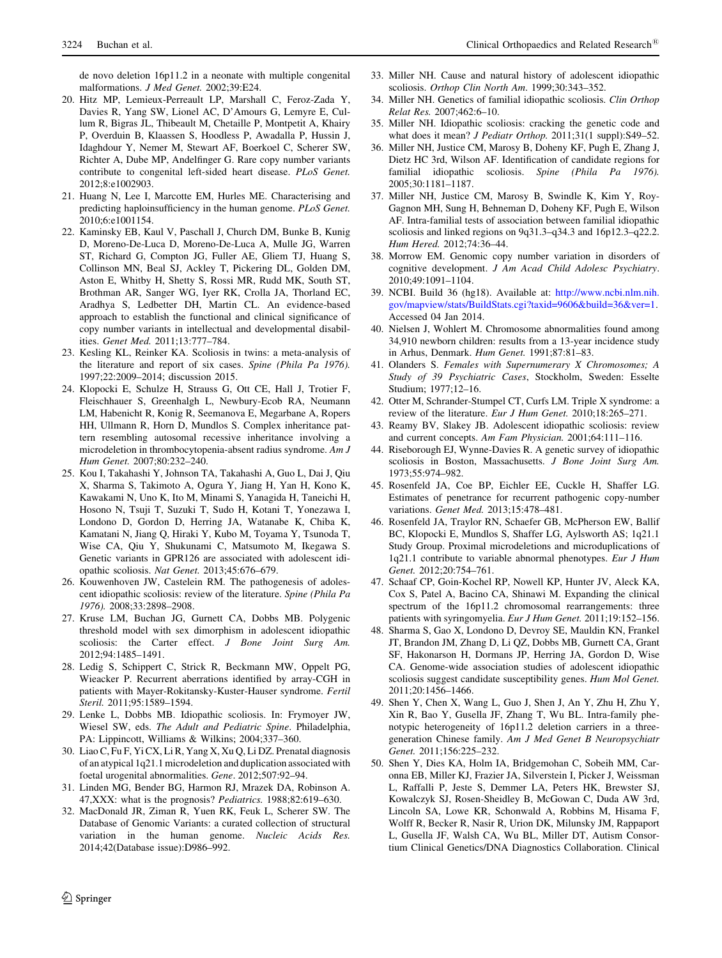<span id="page-8-0"></span>de novo deletion 16p11.2 in a neonate with multiple congenital malformations. J Med Genet. 2002;39:E24.

- 20. Hitz MP, Lemieux-Perreault LP, Marshall C, Feroz-Zada Y, Davies R, Yang SW, Lionel AC, D'Amours G, Lemyre E, Cullum R, Bigras JL, Thibeault M, Chetaille P, Montpetit A, Khairy P, Overduin B, Klaassen S, Hoodless P, Awadalla P, Hussin J, Idaghdour Y, Nemer M, Stewart AF, Boerkoel C, Scherer SW, Richter A, Dube MP, Andelfinger G. Rare copy number variants contribute to congenital left-sided heart disease. PLoS Genet. 2012;8:e1002903.
- 21. Huang N, Lee I, Marcotte EM, Hurles ME. Characterising and predicting haploinsufficiency in the human genome. PLoS Genet. 2010;6:e1001154.
- 22. Kaminsky EB, Kaul V, Paschall J, Church DM, Bunke B, Kunig D, Moreno-De-Luca D, Moreno-De-Luca A, Mulle JG, Warren ST, Richard G, Compton JG, Fuller AE, Gliem TJ, Huang S, Collinson MN, Beal SJ, Ackley T, Pickering DL, Golden DM, Aston E, Whitby H, Shetty S, Rossi MR, Rudd MK, South ST, Brothman AR, Sanger WG, Iyer RK, Crolla JA, Thorland EC, Aradhya S, Ledbetter DH, Martin CL. An evidence-based approach to establish the functional and clinical significance of copy number variants in intellectual and developmental disabilities. Genet Med. 2011;13:777–784.
- 23. Kesling KL, Reinker KA. Scoliosis in twins: a meta-analysis of the literature and report of six cases. Spine (Phila Pa 1976). 1997;22:2009–2014; discussion 2015.
- 24. Klopocki E, Schulze H, Strauss G, Ott CE, Hall J, Trotier F, Fleischhauer S, Greenhalgh L, Newbury-Ecob RA, Neumann LM, Habenicht R, Konig R, Seemanova E, Megarbane A, Ropers HH, Ullmann R, Horn D, Mundlos S. Complex inheritance pattern resembling autosomal recessive inheritance involving a microdeletion in thrombocytopenia-absent radius syndrome. Am J Hum Genet. 2007;80:232–240.
- 25. Kou I, Takahashi Y, Johnson TA, Takahashi A, Guo L, Dai J, Qiu X, Sharma S, Takimoto A, Ogura Y, Jiang H, Yan H, Kono K, Kawakami N, Uno K, Ito M, Minami S, Yanagida H, Taneichi H, Hosono N, Tsuji T, Suzuki T, Sudo H, Kotani T, Yonezawa I, Londono D, Gordon D, Herring JA, Watanabe K, Chiba K, Kamatani N, Jiang Q, Hiraki Y, Kubo M, Toyama Y, Tsunoda T, Wise CA, Qiu Y, Shukunami C, Matsumoto M, Ikegawa S. Genetic variants in GPR126 are associated with adolescent idiopathic scoliosis. Nat Genet. 2013;45:676–679.
- 26. Kouwenhoven JW, Castelein RM. The pathogenesis of adolescent idiopathic scoliosis: review of the literature. Spine (Phila Pa 1976). 2008;33:2898–2908.
- 27. Kruse LM, Buchan JG, Gurnett CA, Dobbs MB. Polygenic threshold model with sex dimorphism in adolescent idiopathic scoliosis: the Carter effect. J Bone Joint Surg Am. 2012;94:1485–1491.
- 28. Ledig S, Schippert C, Strick R, Beckmann MW, Oppelt PG, Wieacker P. Recurrent aberrations identified by array-CGH in patients with Mayer-Rokitansky-Kuster-Hauser syndrome. Fertil Steril. 2011;95:1589–1594.
- 29. Lenke L, Dobbs MB. Idiopathic scoliosis. In: Frymoyer JW, Wiesel SW, eds. The Adult and Pediatric Spine. Philadelphia, PA: Lippincott, Williams & Wilkins; 2004;337–360.
- 30. Liao C, Fu F, Yi CX, Li R, Yang X, Xu Q, Li DZ. Prenatal diagnosis of an atypical 1q21.1 microdeletion and duplication associated with foetal urogenital abnormalities. Gene. 2012;507:92–94.
- 31. Linden MG, Bender BG, Harmon RJ, Mrazek DA, Robinson A. 47,XXX: what is the prognosis? Pediatrics. 1988;82:619–630.
- 32. MacDonald JR, Ziman R, Yuen RK, Feuk L, Scherer SW. The Database of Genomic Variants: a curated collection of structural variation in the human genome. Nucleic Acids Res. 2014;42(Database issue):D986–992.
- 33. Miller NH. Cause and natural history of adolescent idiopathic scoliosis. Orthop Clin North Am. 1999;30:343–352.
- 34. Miller NH. Genetics of familial idiopathic scoliosis. Clin Orthop Relat Res. 2007;462:6–10.
- 35. Miller NH. Idiopathic scoliosis: cracking the genetic code and what does it mean? J Pediatr Orthop. 2011;31(1 suppl):S49-52.
- 36. Miller NH, Justice CM, Marosy B, Doheny KF, Pugh E, Zhang J, Dietz HC 3rd, Wilson AF. Identification of candidate regions for familial idiopathic scoliosis. Spine (Phila Pa 1976). 2005;30:1181–1187.
- 37. Miller NH, Justice CM, Marosy B, Swindle K, Kim Y, Roy-Gagnon MH, Sung H, Behneman D, Doheny KF, Pugh E, Wilson AF. Intra-familial tests of association between familial idiopathic scoliosis and linked regions on 9q31.3–q34.3 and 16p12.3–q22.2. Hum Hered. 2012;74:36–44.
- 38. Morrow EM. Genomic copy number variation in disorders of cognitive development. J Am Acad Child Adolesc Psychiatry. 2010;49:1091–1104.
- 39. NCBI. Build 36 (hg18). Available at: [http://www.ncbi.nlm.nih.](http://www.ncbi.nlm.nih.gov/mapview/stats/BuildStats.cgi?taxid=9606&build=36&ver=1) [gov/mapview/stats/BuildStats.cgi?taxid=9606&build=36&ver=1](http://www.ncbi.nlm.nih.gov/mapview/stats/BuildStats.cgi?taxid=9606&build=36&ver=1). Accessed 04 Jan 2014.
- 40. Nielsen J, Wohlert M. Chromosome abnormalities found among 34,910 newborn children: results from a 13-year incidence study in Arhus, Denmark. Hum Genet. 1991;87:81–83.
- 41. Olanders S. Females with Supernumerary X Chromosomes; A Study of 39 Psychiatric Cases, Stockholm, Sweden: Esselte Studium; 1977;12–16.
- 42. Otter M, Schrander-Stumpel CT, Curfs LM. Triple X syndrome: a review of the literature. Eur J Hum Genet. 2010;18:265–271.
- 43. Reamy BV, Slakey JB. Adolescent idiopathic scoliosis: review and current concepts. Am Fam Physician. 2001;64:111–116.
- 44. Riseborough EJ, Wynne-Davies R. A genetic survey of idiopathic scoliosis in Boston, Massachusetts. J Bone Joint Surg Am. 1973;55:974–982.
- 45. Rosenfeld JA, Coe BP, Eichler EE, Cuckle H, Shaffer LG. Estimates of penetrance for recurrent pathogenic copy-number variations. Genet Med. 2013;15:478–481.
- 46. Rosenfeld JA, Traylor RN, Schaefer GB, McPherson EW, Ballif BC, Klopocki E, Mundlos S, Shaffer LG, Aylsworth AS; 1q21.1 Study Group. Proximal microdeletions and microduplications of 1q21.1 contribute to variable abnormal phenotypes. Eur J Hum Genet. 2012;20:754–761.
- 47. Schaaf CP, Goin-Kochel RP, Nowell KP, Hunter JV, Aleck KA, Cox S, Patel A, Bacino CA, Shinawi M. Expanding the clinical spectrum of the 16p11.2 chromosomal rearrangements: three patients with syringomyelia. Eur J Hum Genet. 2011;19:152-156.
- 48. Sharma S, Gao X, Londono D, Devroy SE, Mauldin KN, Frankel JT, Brandon JM, Zhang D, Li QZ, Dobbs MB, Gurnett CA, Grant SF, Hakonarson H, Dormans JP, Herring JA, Gordon D, Wise CA. Genome-wide association studies of adolescent idiopathic scoliosis suggest candidate susceptibility genes. Hum Mol Genet. 2011;20:1456–1466.
- 49. Shen Y, Chen X, Wang L, Guo J, Shen J, An Y, Zhu H, Zhu Y, Xin R, Bao Y, Gusella JF, Zhang T, Wu BL. Intra-family phenotypic heterogeneity of 16p11.2 deletion carriers in a threegeneration Chinese family. Am J Med Genet B Neuropsychiatr Genet. 2011;156:225–232.
- 50. Shen Y, Dies KA, Holm IA, Bridgemohan C, Sobeih MM, Caronna EB, Miller KJ, Frazier JA, Silverstein I, Picker J, Weissman L, Raffalli P, Jeste S, Demmer LA, Peters HK, Brewster SJ, Kowalczyk SJ, Rosen-Sheidley B, McGowan C, Duda AW 3rd, Lincoln SA, Lowe KR, Schonwald A, Robbins M, Hisama F, Wolff R, Becker R, Nasir R, Urion DK, Milunsky JM, Rappaport L, Gusella JF, Walsh CA, Wu BL, Miller DT, Autism Consortium Clinical Genetics/DNA Diagnostics Collaboration. Clinical